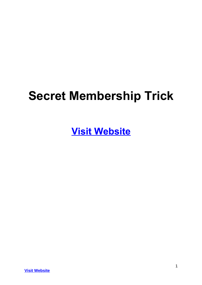# **Secret Membership Trick**

**[Visit Website](http://replug.link/f7ab3460/)**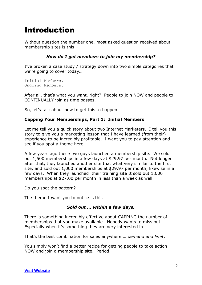# Introduction

Without question the number one, most asked question received about membership sites is this –

# *How do I get members to join my membership?*

I've broken a case study / strategy down into two simple categories that we're going to cover today…

Initial Members. Ongoing Members.

After all, that's what you want, right? People to join NOW and people to CONTINUALLY join as time passes.

So, let's talk about how to get this to happen…

## **Capping Your Memberships, Part 1: Initial Members**.

Let me tell you a quick story about two Internet Marketers. I tell you this story to give you a marketing lesson that I have learned (from their) experience to be incredibly profitable. I want you to pay attention and see if you spot a theme here.

A few years ago these two guys launched a membership site. We sold out 1,500 memberships in a few days at \$29.97 per month. Not longer after that, they launched another site that what very similar to the first site, and sold out 1,000 memberships at \$29.97 per month, likewise in a few days. When they launched their training site It sold out 1,000 memberships at \$27.00 per month in less than a week as well.

Do you spot the pattern?

The theme I want you to notice is this –

## *Sold out … within a few days.*

There is something incredibly effective about CAPPING the number of memberships that you make available. Nobody wants to miss out. Especially when it's something they are very interested in.

That's the best combination for sales anywhere … *demand and limit*.

You simply won't find a better recipe for getting people to take action NOW and join a membership site. Period.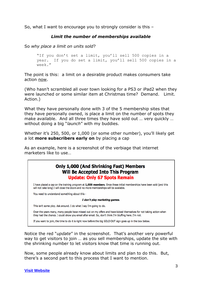So, what I want to encourage you to strongly consider is this –

# *Limit the number of memberships available*

So *why place a limit on units sold*?

```
"If you don't set a limit, you'll sell 500 copies in a 
year. If you do set a limit, you'll sell 500 copies in a
week."
```
The point is this: a limit on a desirable product makes consumers take action now.

(Who hasn't scrambled all over town looking for a PS3 or iPad2 when they were launched or some similar item at Christmas time? Demand. Limit. Action.)

What they have personally done with 3 of the 5 membership sites that they have personally owned, is place a limit on the number of spots they make available. And all three times they have sold out … very quickly … without doing a big "*launch*" with my buddies.

Whether it's 250, 500, or 1,000 (or some other number), you'll likely get a lot **more subscribers early on** by placing a cap

As an example, here is a screenshot of the verbiage that internet marketers like to use…

# Only 1,000 (And Shrinking Fast) Members Will Be Accepted Into This Program **Update: Only 67 Spots Remain**

I have placed a cap on the training program at 1,000 members. Once these initial memberships have been sold (and this will not take long) I will close the doors and no more memberships will be available.

You need to understand something about this -

#### I don't play marketing games.

This isn't some ploy. Ask around. I do what I say I'm going to do.

Over the years many, many people have missed out on my offers and have kicked themselves for not taking action when they had the chance. I could show you email after email. So, don't think I'm bluffing here. I'm not.

If you want to join, the time to do it is right now before the big SOLD OUT sign goes up in the box below.

Notice the red "*update*" in the screenshot. That's another very powerful way to get visitors to join … as you sell memberships, update the site with the shrinking number to let visitors know that time is running out.

Now, some people already know about limits and plan to do this. But, there's a second part to this process that I want to mention.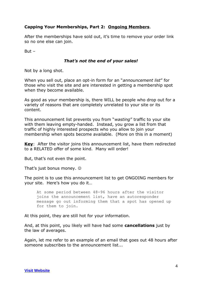# **Capping Your Memberships, Part 2: Ongoing Members**.

After the memberships have sold out, it's time to remove your order link so no one else can join.

But –

## *That's not the end of your sales!*

Not by a long shot.

When you sell out, place an opt-in form for an "*announcement list*" for those who visit the site and are interested in getting a membership spot when they become available.

As good as your membership is, there WILL be people who drop out for a variety of reasons that are completely unrelated to your site or its content.

This announcement list prevents you from "*wasting*" traffic to your site with them leaving empty-handed. Instead, you grow a list from that traffic of highly interested prospects who you allow to join your membership when spots become available. (More on this in a moment)

**Key**: After the visitor joins this announcement list, have them redirected to a RELATED offer of some kind. Many will order!

But, that's not even the point.

That's just bonus money.  $\odot$ 

The point is to use this announcement list to get ONGOING members for your site. Here's how you do it…

At some period between 48-96 hours after the visitor joins the announcement list, have an autoresponder message go out informing them that a spot has opened up for them to join.

At this point, they are still hot for your information.

And, at this point, you likely will have had some **cancellations** just by the law of averages.

Again, let me refer to an example of an email that goes out 48 hours after someone subscribes to the announcement list...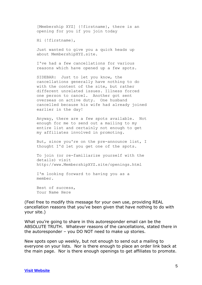[Mmebership XYZ] {!firstname}, there is an opening for you if you join today

Hi {!firstname},

Just wanted to give you a quick heads up about MembershipXYZ.site.

I've had a few cancellations for various reasons which have opened up a few spots.

SIDEBAR: Just to let you know, the cancellations generally have nothing to do with the content of the site, but rather different unrelated issues. Illness forced one person to cancel. Another got sent overseas on active duty. One husband cancelled because his wife had already joined earlier in the day!

Anyway, there are a few spots available. Not enough for me to send out a mailing to my entire list and certainly not enough to get my affiliates involved in promoting.

But, since you're on the pre-announce list, I thought I'd let you get one of the spots.

To join (or re-familiarize yourself with the details) visit http://www.MembershipXYZ.site/openings.html

I'm looking forward to having you as a member.

Best of success, Your Name Here

(Feel free to modify this message for your own use, providing REAL cancellation reasons that you've been given that have nothing to do with your site.)

What you're going to share in this autoresponder email can be the ABSOLUTE TRUTH. Whatever reasons of the cancellations, stated there in the autoresponder – you DO NOT need to make up stories.

New spots open up weekly, but not enough to send out a mailing to everyone on your lists. Nor is there enough to place an order link back at the main page. Nor is there enough openings to get affiliates to promote.